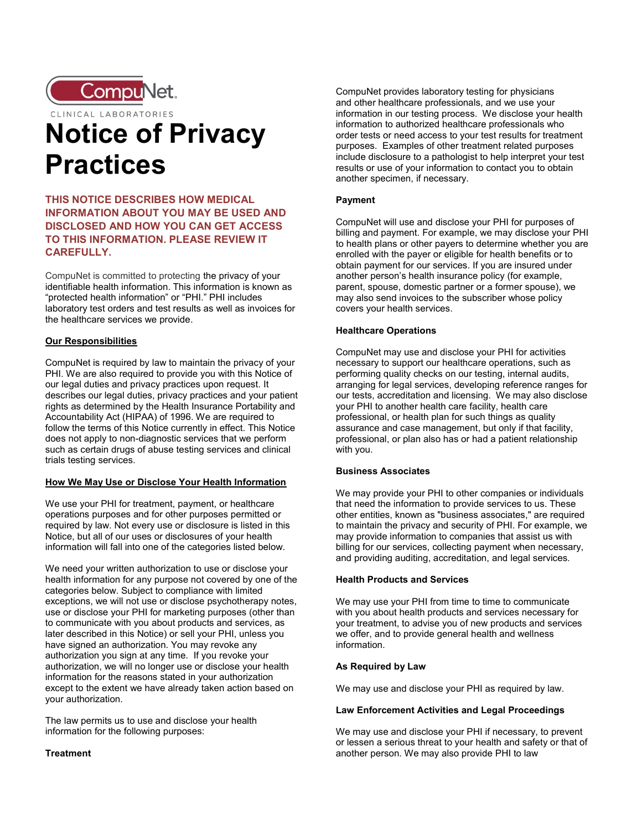

CLINICAL LABORATORIES

# Notice of Privacy **Practices**

## THIS NOTICE DESCRIBES HOW MEDICAL INFORMATION ABOUT YOU MAY BE USED AND DISCLOSED AND HOW YOU CAN GET ACCESS TO THIS INFORMATION. PLEASE REVIEW IT CAREFULLY.

CompuNet is committed to protecting the privacy of your identifiable health information. This information is known as "protected health information" or "PHI." PHI includes laboratory test orders and test results as well as invoices for the healthcare services we provide.

## Our Responsibilities

CompuNet is required by law to maintain the privacy of your PHI. We are also required to provide you with this Notice of our legal duties and privacy practices upon request. It describes our legal duties, privacy practices and your patient rights as determined by the Health Insurance Portability and Accountability Act (HIPAA) of 1996. We are required to follow the terms of this Notice currently in effect. This Notice does not apply to non-diagnostic services that we perform such as certain drugs of abuse testing services and clinical trials testing services.

## How We May Use or Disclose Your Health Information

We use your PHI for treatment, payment, or healthcare operations purposes and for other purposes permitted or required by law. Not every use or disclosure is listed in this Notice, but all of our uses or disclosures of your health information will fall into one of the categories listed below.

We need your written authorization to use or disclose your health information for any purpose not covered by one of the categories below. Subject to compliance with limited exceptions, we will not use or disclose psychotherapy notes, use or disclose your PHI for marketing purposes (other than to communicate with you about products and services, as later described in this Notice) or sell your PHI, unless you have signed an authorization. You may revoke any authorization you sign at any time. If you revoke your authorization, we will no longer use or disclose your health information for the reasons stated in your authorization except to the extent we have already taken action based on your authorization.

The law permits us to use and disclose your health information for the following purposes:

## **Treatment**

CompuNet provides laboratory testing for physicians and other healthcare professionals, and we use your information in our testing process. We disclose your health information to authorized healthcare professionals who order tests or need access to your test results for treatment purposes. Examples of other treatment related purposes include disclosure to a pathologist to help interpret your test results or use of your information to contact you to obtain another specimen, if necessary.

## Payment

CompuNet will use and disclose your PHI for purposes of billing and payment. For example, we may disclose your PHI to health plans or other payers to determine whether you are enrolled with the payer or eligible for health benefits or to obtain payment for our services. If you are insured under another person's health insurance policy (for example, parent, spouse, domestic partner or a former spouse), we may also send invoices to the subscriber whose policy covers your health services.

#### Healthcare Operations

CompuNet may use and disclose your PHI for activities necessary to support our healthcare operations, such as performing quality checks on our testing, internal audits, arranging for legal services, developing reference ranges for our tests, accreditation and licensing. We may also disclose your PHI to another health care facility, health care professional, or health plan for such things as quality assurance and case management, but only if that facility, professional, or plan also has or had a patient relationship with you.

## Business Associates

We may provide your PHI to other companies or individuals that need the information to provide services to us. These other entities, known as "business associates," are required to maintain the privacy and security of PHI. For example, we may provide information to companies that assist us with billing for our services, collecting payment when necessary, and providing auditing, accreditation, and legal services.

## Health Products and Services

We may use your PHI from time to time to communicate with you about health products and services necessary for your treatment, to advise you of new products and services we offer, and to provide general health and wellness information.

## As Required by Law

We may use and disclose your PHI as required by law.

#### Law Enforcement Activities and Legal Proceedings

We may use and disclose your PHI if necessary, to prevent or lessen a serious threat to your health and safety or that of another person. We may also provide PHI to law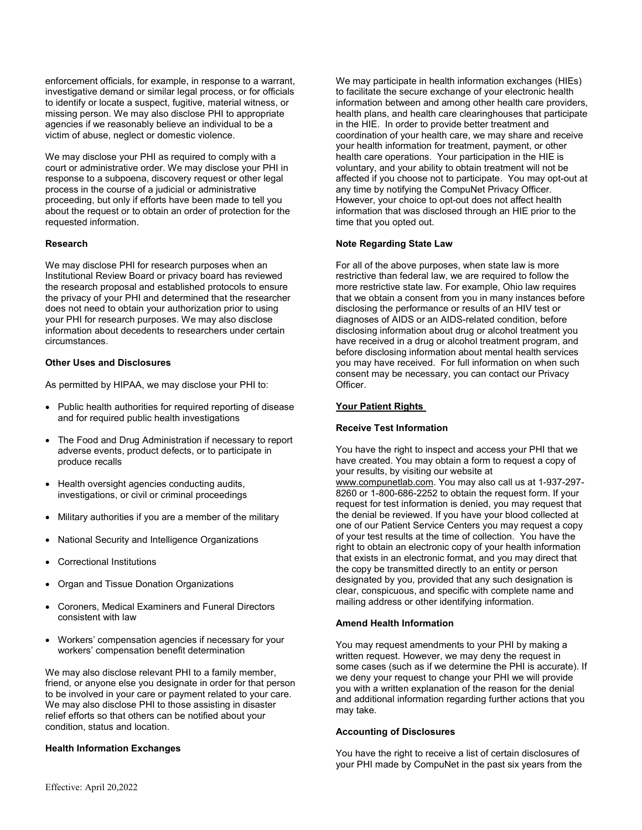enforcement officials, for example, in response to a warrant, investigative demand or similar legal process, or for officials to identify or locate a suspect, fugitive, material witness, or missing person. We may also disclose PHI to appropriate agencies if we reasonably believe an individual to be a victim of abuse, neglect or domestic violence.

We may disclose your PHI as required to comply with a court or administrative order. We may disclose your PHI in response to a subpoena, discovery request or other legal process in the course of a judicial or administrative proceeding, but only if efforts have been made to tell you about the request or to obtain an order of protection for the requested information.

#### Research

We may disclose PHI for research purposes when an Institutional Review Board or privacy board has reviewed the research proposal and established protocols to ensure the privacy of your PHI and determined that the researcher does not need to obtain your authorization prior to using your PHI for research purposes. We may also disclose information about decedents to researchers under certain circumstances.

#### Other Uses and Disclosures

As permitted by HIPAA, we may disclose your PHI to:

- Public health authorities for required reporting of disease and for required public health investigations
- The Food and Drug Administration if necessary to report adverse events, product defects, or to participate in produce recalls
- Health oversight agencies conducting audits, investigations, or civil or criminal proceedings
- Military authorities if you are a member of the military
- National Security and Intelligence Organizations
- Correctional Institutions
- Organ and Tissue Donation Organizations
- Coroners, Medical Examiners and Funeral Directors consistent with law
- Workers' compensation agencies if necessary for your workers' compensation benefit determination

We may also disclose relevant PHI to a family member, friend, or anyone else you designate in order for that person to be involved in your care or payment related to your care. We may also disclose PHI to those assisting in disaster relief efforts so that others can be notified about your condition, status and location.

## Health Information Exchanges

We may participate in health information exchanges (HIEs) to facilitate the secure exchange of your electronic health information between and among other health care providers, health plans, and health care clearinghouses that participate in the HIE. In order to provide better treatment and coordination of your health care, we may share and receive your health information for treatment, payment, or other health care operations. Your participation in the HIE is voluntary, and your ability to obtain treatment will not be affected if you choose not to participate. You may opt-out at any time by notifying the CompuNet Privacy Officer. However, your choice to opt-out does not affect health information that was disclosed through an HIE prior to the time that you opted out.

#### Note Regarding State Law

For all of the above purposes, when state law is more restrictive than federal law, we are required to follow the more restrictive state law. For example, Ohio law requires that we obtain a consent from you in many instances before disclosing the performance or results of an HIV test or diagnoses of AIDS or an AIDS-related condition, before disclosing information about drug or alcohol treatment you have received in a drug or alcohol treatment program, and before disclosing information about mental health services you may have received. For full information on when such consent may be necessary, you can contact our Privacy Officer.

## Your Patient Rights

#### Receive Test Information

You have the right to inspect and access your PHI that we have created. You may obtain a form to request a copy of your results, by visiting our website at www.compunetlab.com. You may also call us at 1-937-297- 8260 or 1-800-686-2252 to obtain the request form. If your request for test information is denied, you may request that the denial be reviewed. If you have your blood collected at one of our Patient Service Centers you may request a copy of your test results at the time of collection. You have the right to obtain an electronic copy of your health information that exists in an electronic format, and you may direct that the copy be transmitted directly to an entity or person designated by you, provided that any such designation is clear, conspicuous, and specific with complete name and mailing address or other identifying information.

## Amend Health Information

You may request amendments to your PHI by making a written request. However, we may deny the request in some cases (such as if we determine the PHI is accurate). If we deny your request to change your PHI we will provide you with a written explanation of the reason for the denial and additional information regarding further actions that you may take.

#### Accounting of Disclosures

You have the right to receive a list of certain disclosures of your PHI made by CompuNet in the past six years from the